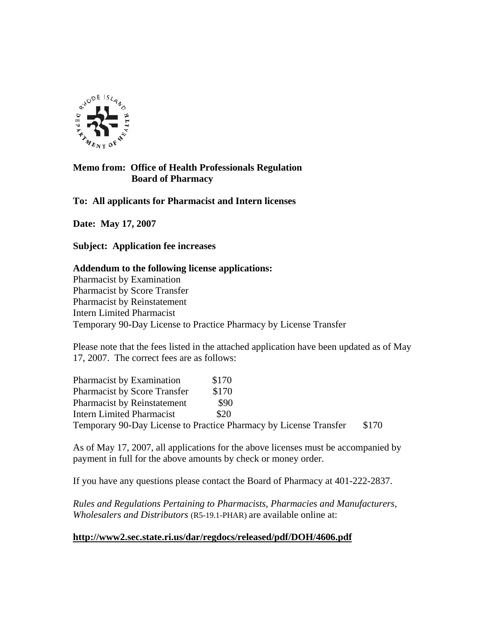

**Memo from: Office of Health Professionals Regulation Board of Pharmacy** 

**To: All applicants for Pharmacist and Intern licenses** 

**Date: May 17, 2007** 

**Subject: Application fee increases** 

### **Addendum to the following license applications:**

Pharmacist by Examination Pharmacist by Score Transfer Pharmacist by Reinstatement Intern Limited Pharmacist Temporary 90-Day License to Practice Pharmacy by License Transfer

Please note that the fees listed in the attached application have been updated as of May 17, 2007. The correct fees are as follows:

| Pharmacist by Examination           | \$170                                                             |       |
|-------------------------------------|-------------------------------------------------------------------|-------|
| <b>Pharmacist by Score Transfer</b> | \$170                                                             |       |
| <b>Pharmacist by Reinstatement</b>  | \$90                                                              |       |
| Intern Limited Pharmacist           | \$20                                                              |       |
|                                     | Temporary 90-Day License to Practice Pharmacy by License Transfer | \$170 |

As of May 17, 2007, all applications for the above licenses must be accompanied by payment in full for the above amounts by check or money order.

If you have any questions please contact the Board of Pharmacy at 401-222-2837.

*Rules and Regulations Pertaining to Pharmacists, Pharmacies and Manufacturers, Wholesalers and Distributors* (R5-19.1-PHAR) are available online at:

### **http://www2.sec.state.ri.us/dar/regdocs/released/pdf/DOH/4606.pdf**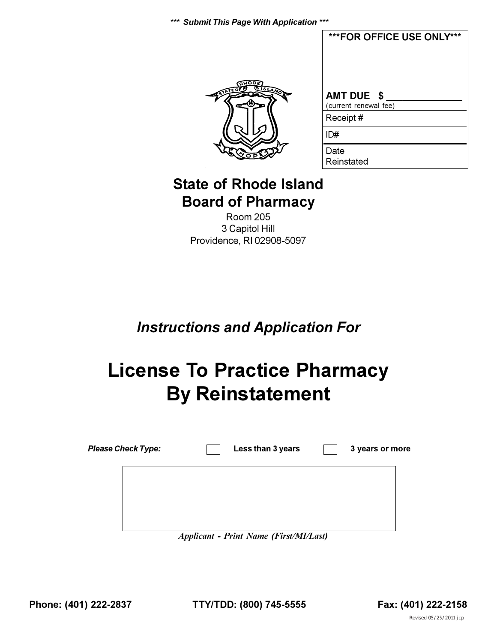\*\*\* Submit This Page With Application \*\*\*



| ***FOR OFFICE USE ONLY***           |
|-------------------------------------|
| AMT DUE \$<br>(current renewal fee) |
| Receipt#                            |
| ID#                                 |
| Date<br>Reinstated                  |

## State of Rhode Island Board of Pharmacy

Room 205 3 Capitol Hill Providence, RI 02908-5097

# Instructions and Application For

# License To Practice Pharmacy By Reinstatement

| <b>Please Check Type:</b> | Less than 3 years | 3 years or more |
|---------------------------|-------------------|-----------------|
|                           |                   |                 |
|                           |                   |                 |
|                           |                   |                 |
|                           |                   |                 |

Applicant - Print Name (First/MI/Last)

Phone: (401) 222-2837 TTY/TDD: (800) 745-5555 Fax: (401) 222-2158

Revised 05/25/2011 jcp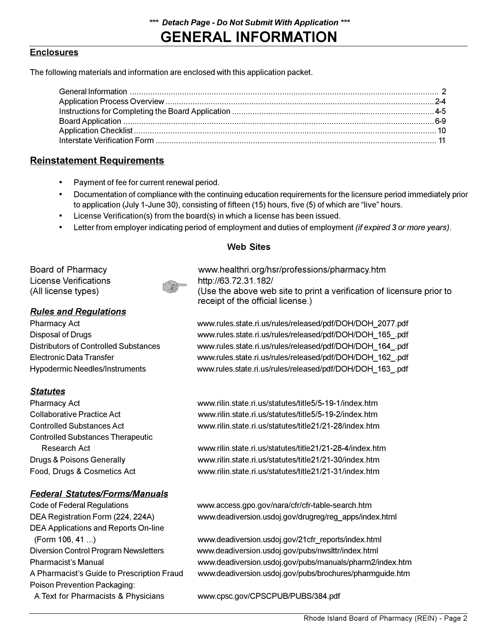\*\*\* Detach Page - Do Not Submit With Application \*\*\*

# GENERAL INFORMATION

### **Enclosures**

The following materials and information are enclosed with this application packet.

### Reinstatement Requirements

- Payment of fee for current renewal period.
- Documentation of compliance with the continuing education requirements for the licensure period immediately prior to application (July 1-June 30), consisting of fifteen (15) hours, five (5) of which are "live" hours.
- License Verification(s) from the board(s) in which a license has been issued.
- Letter from employer indicating period of employment and duties of employment *(if expired 3 or more years)*.

### Web Sites

License Verifications http://63.72.31.182/



### Rules and Regulations

### **Statutes**

Controlled Substances Therapeutic

### Federal Statutes/Forms/Manuals

DEA Applications and Reports On-line Poison Prevention Packaging: A Text for Pharmacists & Physicians www.cpsc.gov/CPSCPUB/PUBS/384.pdf

Board of Pharmacy www.healthri.org/hsr/professions/pharmacy.htm (All license types) (Use the above web site to print a verification of licensure prior to receipt of the official license.)

Pharmacy Act www.rules.state.ri.us/rules/released/pdf/DOH/DOH\_2077.pdf Disposal of Drugs www.rules.state.ri.us/rules/released/pdf/DOH/DOH\_165\_.pdf Distributors of Controlled Substances www.rules.state.ri.us/rules/released/pdf/DOH/DOH\_164\_.pdf Electronic Data Transfer www.rules.state.ri.us/rules/released/pdf/DOH/DOH\_162\_.pdf Hypodermic Needles/Instruments www.rules.state.ri.us/rules/released/pdf/DOH/DOH\_163\_.pdf

Pharmacy Act www.rilin.state.ri.us/statutes/title5/5-19-1/index.htm Collaborative Practice Act www.rilin.state.ri.us/statutes/title5/5-19-2/index.htm Controlled Substances Act www.rilin.state.ri.us/statutes/title21/21-28/index.htm

Research Act **business** www.rilin.state.ri.us/statutes/title21/21-28-4/index.htm Drugs & Poisons Generally www.rilin.state.ri.us/statutes/title21/21-30/index.htm Food, Drugs & Cosmetics Act www.rilin.state.ri.us/statutes/title21/21-31/index.htm

Code of Federal Regulations www.access.gpo.gov/nara/cfr/cfr-table-search.htm DEA Registration Form (224, 224A) www.deadiversion.usdoj.gov/drugreg/reg\_apps/index.html

 (Form 106, 41 ...) www.deadiversion.usdoj.gov/21cfr\_reports/index.html Diversion Control Program Newsletters www.deadiversion.usdoj.gov/pubs/nwslttr/index.html Pharmacist's Manual www.deadiversion.usdoj.gov/pubs/manuals/pharm2/index.htm A Pharmacist's Guide to Prescription Fraud www.deadiversion.usdoj.gov/pubs/brochures/pharmguide.htm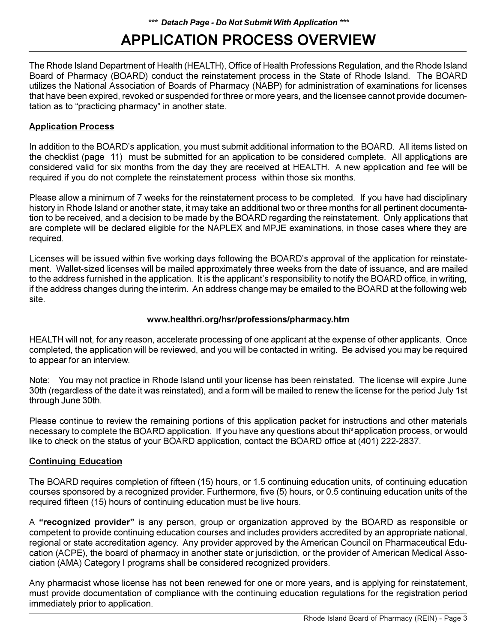# APPLICATION PROCESS OVERVIEW

The Rhode Island Department of Health (HEALTH), Office of Health Professions Regulation, and the Rhode Island Board of Pharmacy (BOARD) conduct the reinstatement process in the State of Rhode Island. The BOARD utilizes the National Association of Boards of Pharmacy (NABP) for administration of examinations for licenses that have been expired, revoked or suspended for three or more years, and the licensee cannot provide documentation as to "practicing pharmacy" in another state.

### Application Process

In addition to the BOARD's application, you must submit additional information to the BOARD. All items listed on the checklist (page 11) must be submitted for an application to be considered complete. All applications are considered valid for six months from the day they are received at HEALTH. A new application and fee will be required if you do not complete the reinstatement process within those six months.

Please allow a minimum of 7 weeks for the reinstatement process to be completed. If you have had disciplinary history in Rhode Island or another state, it may take an additional two or three months for all pertinent documentation to be received, and a decision to be made by the BOARD regarding the reinstatement. Only applications that are complete will be declared eligible for the NAPLEX and MPJE examinations, in those cases where they are required.

Licenses will be issued within five working days following the BOARD's approval of the application for reinstatement. Wallet-sized licenses will be mailed approximately three weeks from the date of issuance, and are mailed to the address furnished in the application. It is the applicant's responsibility to notify the BOARD office, in writing, if the address changes during the interim. An address change may be emailed to the BOARD at the following web site.

### www.healthri.org/hsr/professions/pharmacy.htm

HEALTH will not, for any reason, accelerate processing of one applicant at the expense of other applicants. Once completed, the application will be reviewed, and you will be contacted in writing. Be advised you may be required to appear for an interview.

Note: You may not practice in Rhode Island until your license has been reinstated. The license will expire June 30th (regardless of the date it was reinstated), and a form will be mailed to renew the license for the period July 1st through June 30th.

Please continue to review the remaining portions of this application packet for instructions and other materials necessary to complete the BOARD application. If you have any questions about thi<sup>s</sup> application process, or would like to check on the status of your BOARD application, contact the BOARD office at (401) 222-2837.

### Continuing Education

The BOARD requires completion of fifteen (15) hours, or 1.5 continuing education units, of continuing education courses sponsored by a recognized provider. Furthermore, five (5) hours, or 0.5 continuing education units of the required fifteen (15) hours of continuing education must be live hours.

A "recognized provider" is any person, group or organization approved by the BOARD as responsible or competent to provide continuing education courses and includes providers accredited by an appropriate national, regional or state accreditation agency. Any provider approved by the American Council on Pharmaceutical Education (ACPE), the board of pharmacy in another state or jurisdiction, or the provider of American Medical Association (AMA) Category I programs shall be considered recognized providers.

Any pharmacist whose license has not been renewed for one or more years, and is applying for reinstatement, must provide documentation of compliance with the continuing education regulations for the registration period immediately prior to application.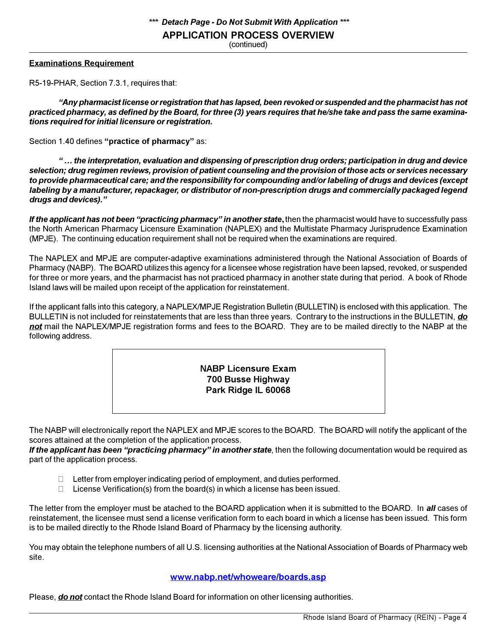#### Examinations Requirement

R5-19-PHAR, Section 7.3.1, requires that:

"Any pharmacist license or registration that has lapsed, been revoked or suspended and the pharmacist has not practiced pharmacy, as defined by the Board, for three (3) years requires that he/she take and pass the same examinations required for initial licensure or registration.

Section 1.40 defines "practice of pharmacy" as:

" … the interpretation, evaluation and dispensing of prescription drug orders; participation in drug and device selection; drug regimen reviews, provision of patient counseling and the provision of those acts or services necessary to provide pharmaceutical care; and the responsibility for compounding and/or labeling of drugs and devices (except labeling by a manufacturer, repackager, or distributor of non-prescription drugs and commercially packaged legend drugs and devices)."

If the applicant has not been "practicing pharmacy" in another state, then the pharmacist would have to successfully pass the North American Pharmacy Licensure Examination (NAPLEX) and the Multistate Pharmacy Jurisprudence Examination (MPJE). The continuing education requirement shall not be required when the examinations are required.

The NAPLEX and MPJE are computer-adaptive examinations administered through the National Association of Boards of Pharmacy (NABP). The BOARD utilizes this agency for a licensee whose registration have been lapsed, revoked, or suspended for three or more years, and the pharmacist has not practiced pharmacy in another state during that period. A book of Rhode Island laws will be mailed upon receipt of the application for reinstatement.

If the applicant falls into this category, a NAPLEX/MPJE Registration Bulletin (BULLETIN) is enclosed with this application. The BULLETIN is not included for reinstatements that are less than three years. Contrary to the instructions in the BULLETIN, do not mail the NAPLEX/MPJE registration forms and fees to the BOARD. They are to be mailed directly to the NABP at the following address.

### NABP Licensure Exam 700 Busse Highway Park Ridge IL 60068

The NABP will electronically report the NAPLEX and MPJE scores to the BOARD. The BOARD will notify the applicant of the scores attained at the completion of the application process.

If the applicant has been "practicing pharmacy" in another state, then the following documentation would be required as part of the application process.

- $\Box$  Letter from employer indicating period of employment, and duties performed.
- $\Box$  License Verification(s) from the board(s) in which a license has been issued.

The letter from the employer must be atached to the BOARD application when it is submitted to the BOARD. In all cases of reinstatement, the licensee must send a license verification form to each board in which a license has been issued. This form is to be mailed directly to the Rhode Island Board of Pharmacy by the licensing authority.

You may obtain the telephone numbers of all U.S. licensing authorities at the National Association of Boards of Pharmacy web site.

#### www.nabp.net/whoweare/boards.asp

Please, **do not** contact the Rhode Island Board for information on other licensing authorities.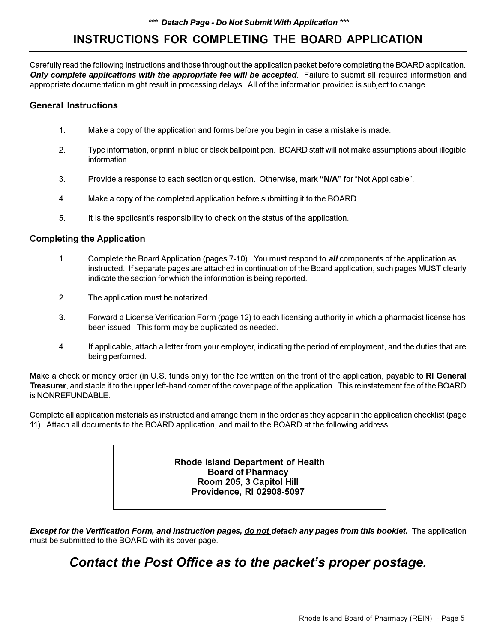### INSTRUCTIONS FOR COMPLETING THE BOARD APPLICATION

Carefully read the following instructions and those throughout the application packet before completing the BOARD application. Only complete applications with the appropriate fee will be accepted. Failure to submit all required information and appropriate documentation might result in processing delays. All of the information provided is subject to change.

### General Instructions

- 1. Make a copy of the application and forms before you begin in case a mistake is made.
- 2. Type information, or print in blue or black ballpoint pen. BOARD staff will not make assumptions about illegible information.
- 3. Provide a response to each section or question. Otherwise, mark "N/A" for "Not Applicable".
- 4. Make a copy of the completed application before submitting it to the BOARD.
- 5. It is the applicant's responsibility to check on the status of the application.

#### Completing the Application

- 1. Complete the Board Application (pages 7-10). You must respond to all components of the application as instructed. If separate pages are attached in continuation of the Board application, such pages MUST clearly indicate the section for which the information is being reported.
- 2. The application must be notarized.
- 3. Forward a License Verification Form (page 12) to each licensing authority in which a pharmacist license has been issued. This form may be duplicated as needed.
- 4. If applicable, attach a letter from your employer, indicating the period of employment, and the duties that are being performed.

Make a check or money order (in U.S. funds only) for the fee written on the front of the application, payable to RI General Treasurer, and staple it to the upper left-hand corner of the cover page of the application. This reinstatement fee of the BOARD is NONREFUNDABLE.

Complete all application materials as instructed and arrange them in the order as they appear in the application checklist (page 11). Attach all documents to the BOARD application, and mail to the BOARD at the following address.

> Rhode Island Department of Health Board of Pharmacy Room 205, 3 Capitol Hill Providence, RI 02908-5097

Except for the Verification Form, and instruction pages, do not detach any pages from this booklet. The application must be submitted to the BOARD with its cover page.

### Contact the Post Office as to the packet's proper postage.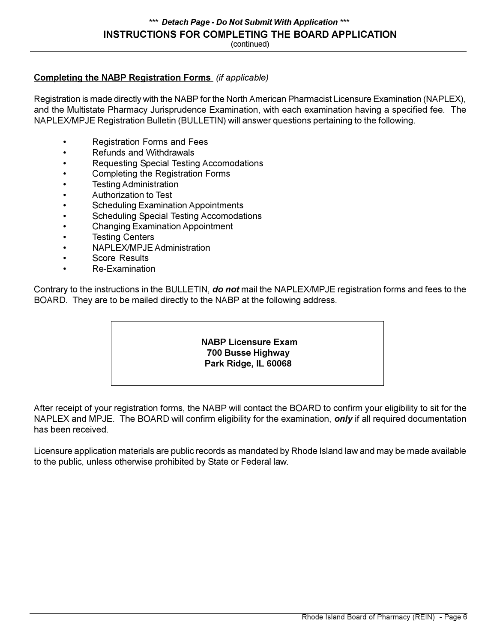### Completing the NABP Registration Forms (if applicable)

Registration is made directly with the NABP for the North American Pharmacist Licensure Examination (NAPLEX), and the Multistate Pharmacy Jurisprudence Examination, with each examination having a specified fee. The NAPLEX/MPJE Registration Bulletin (BULLETIN) will answer questions pertaining to the following.

- Registration Forms and Fees
- Refunds and Withdrawals
- Requesting Special Testing Accomodations
- Completing the Registration Forms
- Testing Administration
- Authorization to Test
- **Scheduling Examination Appointments**
- Scheduling Special Testing Accomodations
- Changing Examination Appointment
- **Testing Centers**
- NAPLEX/MPJE Administration
- Score Results
- Re-Examination

Contrary to the instructions in the BULLETIN, **do not** mail the NAPLEX/MPJE registration forms and fees to the BOARD. They are to be mailed directly to the NABP at the following address.

### NABP Licensure Exam 700 Busse Highway Park Ridge, IL 60068

After receipt of your registration forms, the NABP will contact the BOARD to confirm your eligibility to sit for the NAPLEX and MPJE. The BOARD will confirm eligibility for the examination, only if all required documentation has been received.

Licensure application materials are public records as mandated by Rhode Island law and may be made available to the public, unless otherwise prohibited by State or Federal law.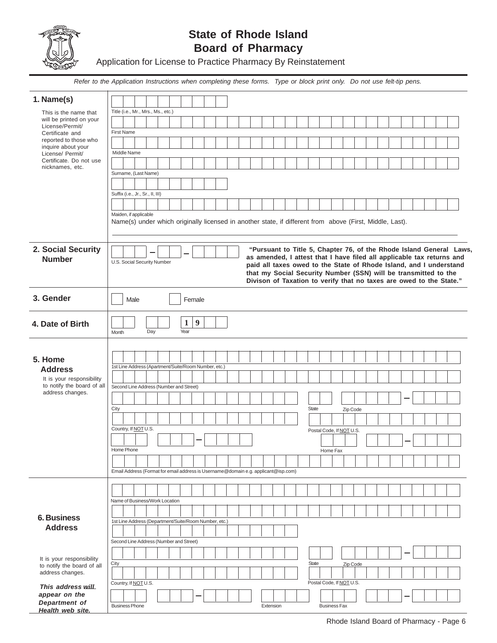

### **State of Rhode Island Board of Pharmacy**

Application for License to Practice Pharmacy By Reinstatement

*Refer to the Application Instructions when completing these forms. Type or block print only. Do not use felt-tip pens.*

| 1. Name(s)                                              |                                                                                                                                       |
|---------------------------------------------------------|---------------------------------------------------------------------------------------------------------------------------------------|
| This is the name that                                   | Title (i.e., Mr., Mrs., Ms., etc.)                                                                                                    |
| will be printed on your<br>License/Permit/              |                                                                                                                                       |
| Certificate and                                         | <b>First Name</b>                                                                                                                     |
| reported to those who<br>inquire about your             |                                                                                                                                       |
| License/ Permit/<br>Certificate. Do not use             | Middle Name                                                                                                                           |
| nicknames, etc.                                         | Surname, (Last Name)                                                                                                                  |
|                                                         |                                                                                                                                       |
|                                                         | Suffix (i.e., Jr., Sr., II, III)                                                                                                      |
|                                                         |                                                                                                                                       |
|                                                         | Maiden, if applicable<br>Name(s) under which originally licensed in another state, if different from above (First, Middle, Last).     |
|                                                         |                                                                                                                                       |
| 2. Social Security                                      | "Pursuant to Title 5, Chapter 76, of the Rhode Island General Laws,                                                                   |
| <b>Number</b>                                           | as amended, I attest that I have filed all applicable tax returns and<br>U.S. Social Security Number                                  |
|                                                         | paid all taxes owed to the State of Rhode Island, and I understand<br>that my Social Security Number (SSN) will be transmitted to the |
|                                                         | Divison of Taxation to verify that no taxes are owed to the State."                                                                   |
| 3. Gender                                               | Female<br>Male                                                                                                                        |
|                                                         |                                                                                                                                       |
| 4. Date of Birth                                        | $\boldsymbol{9}$<br>1                                                                                                                 |
|                                                         | Day<br>Year<br>Month                                                                                                                  |
|                                                         |                                                                                                                                       |
| 5. Home                                                 |                                                                                                                                       |
| <b>Address</b>                                          | 1st Line Address (Apartment/Suite/Room Number, etc.)                                                                                  |
| It is your responsibility<br>to notify the board of all | Second Line Address (Number and Street)                                                                                               |
| address changes.                                        |                                                                                                                                       |
|                                                         | City<br>State<br>Zip Code                                                                                                             |
|                                                         |                                                                                                                                       |
|                                                         | Country, If NOT U.S.<br>Postal Code, If NOT U.S.                                                                                      |
|                                                         | Home Phone<br>Home Fax                                                                                                                |
|                                                         |                                                                                                                                       |
|                                                         | Email Address (Format for email address is Username@domain e.g. applicant@isp.com)                                                    |
|                                                         |                                                                                                                                       |
|                                                         | Name of Business/Work Location                                                                                                        |
|                                                         |                                                                                                                                       |
| <b>6. Business</b><br><b>Address</b>                    | 1st Line Address (Department/Suite/Room Number, etc.)                                                                                 |
|                                                         | Second Line Address (Number and Street)                                                                                               |
|                                                         |                                                                                                                                       |
| It is your responsibility<br>to notify the board of all | State<br>City<br>Zip Code                                                                                                             |
| address changes.                                        |                                                                                                                                       |
| This address will                                       | Postal Code, If NOT U.S.<br>Country, If NOT U.S.                                                                                      |
| appear on the<br>Department of                          |                                                                                                                                       |
| Health web site.                                        | <b>Business Phone</b><br>Extension<br><b>Business Fax</b>                                                                             |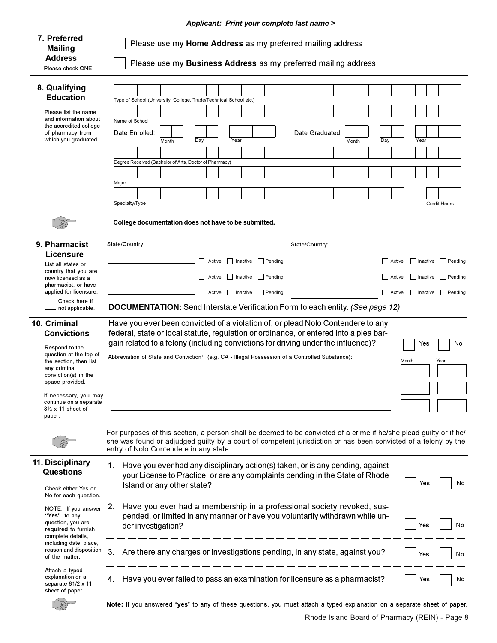| 7. Preferred<br><b>Mailing</b><br><b>Address</b><br>Please check ONE                                                                                                                                                                                             | Please use my Home Address as my preferred mailing address<br>Please use my Business Address as my preferred mailing address                                                                                                                                                                                                                                                                               |          |
|------------------------------------------------------------------------------------------------------------------------------------------------------------------------------------------------------------------------------------------------------------------|------------------------------------------------------------------------------------------------------------------------------------------------------------------------------------------------------------------------------------------------------------------------------------------------------------------------------------------------------------------------------------------------------------|----------|
| 8. Qualifying<br><b>Education</b><br>Please list the name<br>and information about<br>the accredited college<br>of pharmacy from<br>which you graduated.                                                                                                         | Type of School (University, College, Trade/Technical School etc.)<br>Name of School<br>Date Graduated:<br>Date Enrolled:<br>Day<br>Year<br>Day<br>Year<br>Month<br>Month                                                                                                                                                                                                                                   |          |
|                                                                                                                                                                                                                                                                  | Degree Received (Bachelor of Arts, Doctor of Pharmacy)<br>Major<br>Specialty/Type<br><b>Credit Hours</b><br>College documentation does not have to be submitted.                                                                                                                                                                                                                                           |          |
| 9. Pharmacist<br><b>Licensure</b><br>List all states or<br>country that you are<br>now licensed as a<br>pharmacist, or have<br>applied for licensure.<br>Check here if<br>not applicable.                                                                        | State/Country:<br>State/Country:<br>  Inactive   Pending<br>Active<br>  Inactive<br>  Pending<br>Active<br>$\Box$ Pending<br>  Active   Inactive   Pending<br>  Active<br>$\Box$ Inactive<br>Active Inactive Pending<br>  Active<br>  Inactive<br>  Pending<br><b>DOCUMENTATION:</b> Send Interstate Verification Form to each entity. (See page 12)                                                       |          |
| 10. Criminal<br><b>Convictions</b><br>Respond to the<br>question at the top of<br>the section, then list<br>any criminal<br>conviction(s) in the<br>space provided.<br>If necessary, you may<br>continue on a separate<br>$8\frac{1}{2}$ x 11 sheet of<br>paper. | Have you ever been convicted of a violation of, or plead Nolo Contendere to any<br>federal, state or local statute, regulation or ordinance, or entered into a plea bar-<br>gain related to a felony (including convictions for driving under the influence)?<br>Yes<br>No<br>Abbreviation of State and Conviction <sup>1</sup> (e.g. CA - Illegal Possession of a Controlled Substance):<br>Month<br>Year |          |
|                                                                                                                                                                                                                                                                  | For purposes of this section, a person shall be deemed to be convicted of a crime if he/she plead guilty or if he/<br>she was found or adjudged guilty by a court of competent jurisdiction or has been convicted of a felony by the<br>entry of Nolo Contendere in any state.                                                                                                                             |          |
| 11. Disciplinary<br><b>Questions</b><br>Check either Yes or<br>No for each question.                                                                                                                                                                             | Have you ever had any disciplinary action(s) taken, or is any pending, against<br>1.<br>your License to Practice, or are any complaints pending in the State of Rhode<br>Yes<br>Island or any other state?                                                                                                                                                                                                 | No       |
| NOTE: If you answer<br>"Yes" to any<br>question, you are<br>required to furnish<br>complete details,<br>including date, place,<br>reason and disposition<br>of the matter.                                                                                       | Have you ever had a membership in a professional society revoked, sus-<br>2.<br>pended, or limited in any manner or have you voluntarily withdrawn while un-<br>der investigation?<br>Yes<br>Are there any charges or investigations pending, in any state, against you?<br>3.<br>Yes                                                                                                                      | No<br>No |
| Attach a typed<br>explanation on a<br>separate 81/2 x 11<br>sheet of paper.                                                                                                                                                                                      | Have you ever failed to pass an examination for licensure as a pharmacist?<br>Yes                                                                                                                                                                                                                                                                                                                          | No       |
|                                                                                                                                                                                                                                                                  | Note: If you answered "yes" to any of these questions, you must attach a typed explanation on a separate sheet of paper.                                                                                                                                                                                                                                                                                   |          |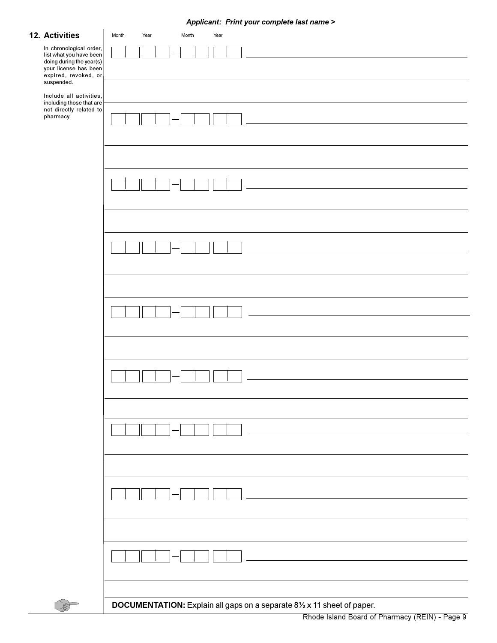#### Applicant: Print your complete last name >

|                                                                           | Applicant. Thin your complete last hame?                                |
|---------------------------------------------------------------------------|-------------------------------------------------------------------------|
| 12. Activities                                                            | Month<br>Year<br>Month<br>Year                                          |
| In chronological order,<br>list what you have been                        |                                                                         |
| doing during the year(s)<br>your license has been<br>expired, revoked, or |                                                                         |
| suspended.                                                                |                                                                         |
| Include all activities,                                                   |                                                                         |
| including those that are<br>not directly related to                       |                                                                         |
| pharmacy.                                                                 |                                                                         |
|                                                                           |                                                                         |
|                                                                           |                                                                         |
|                                                                           |                                                                         |
|                                                                           |                                                                         |
|                                                                           |                                                                         |
|                                                                           |                                                                         |
|                                                                           |                                                                         |
|                                                                           |                                                                         |
|                                                                           |                                                                         |
|                                                                           |                                                                         |
|                                                                           |                                                                         |
|                                                                           |                                                                         |
|                                                                           |                                                                         |
|                                                                           |                                                                         |
|                                                                           |                                                                         |
|                                                                           |                                                                         |
|                                                                           |                                                                         |
|                                                                           |                                                                         |
|                                                                           |                                                                         |
|                                                                           |                                                                         |
|                                                                           |                                                                         |
|                                                                           |                                                                         |
|                                                                           |                                                                         |
|                                                                           |                                                                         |
|                                                                           |                                                                         |
|                                                                           |                                                                         |
|                                                                           |                                                                         |
|                                                                           |                                                                         |
|                                                                           |                                                                         |
|                                                                           |                                                                         |
|                                                                           |                                                                         |
|                                                                           |                                                                         |
|                                                                           |                                                                         |
|                                                                           |                                                                         |
|                                                                           |                                                                         |
|                                                                           | DOCUMENTATION: Explain all gaps on a separate 81/2 x 11 sheet of paper. |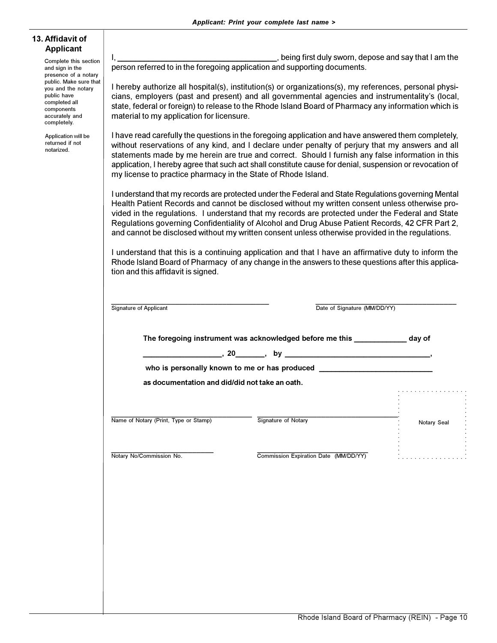#### 13. Affidavit of Applicant

Complete this section and sign in the presence of a notary public. Make sure that you and the notary public have completed all components accurately and completely.

Application will be returned if not notarized.

I, Let a straight in the set of the set of the set of the set of the set of the set of the set of the set of the set of the set of the set of the set of the set of the set of the set of the set of the set of the set of the person referred to in the foregoing application and supporting documents.

I hereby authorize all hospital(s), institution(s) or organizations(s), my references, personal physicians, employers (past and present) and all governmental agencies and instrumentality's (local, state, federal or foreign) to release to the Rhode Island Board of Pharmacy any information which is material to my application for licensure.

I have read carefully the questions in the foregoing application and have answered them completely, without reservations of any kind, and I declare under penalty of perjury that my answers and all statements made by me herein are true and correct. Should I furnish any false information in this application, I hereby agree that such act shall constitute cause for denial, suspension or revocation of my license to practice pharmacy in the State of Rhode Island.

I understand that my records are protected under the Federal and State Regulations governing Mental Health Patient Records and cannot be disclosed without my written consent unless otherwise provided in the regulations. I understand that my records are protected under the Federal and State Regulations governing Confidentiality of Alcohol and Drug Abuse Patient Records, 42 CFR Part 2, and cannot be disclosed without my written consent unless otherwise provided in the regulations.

I understand that this is a continuing application and that I have an affirmative duty to inform the Rhode Island Board of Pharmacy of any change in the answers to these questions after this application and this affidavit is signed.

\_\_\_\_\_\_\_\_\_\_\_\_\_\_\_\_\_\_\_\_\_\_\_\_\_\_\_\_\_\_\_\_\_\_\_\_\_ \_\_\_\_\_\_\_\_\_\_\_\_\_\_\_\_\_\_\_\_\_\_\_\_\_\_\_\_\_\_\_\_\_

Signature of Applicant **Date of Signature (MM/DD/YY)** Date of Signature (MM/DD/YY)

The foregoing instrument was acknowledged before me this equal of day of

 $\Box$ , 20  $\Box$ , by  $\Box$ 

who is personally known to me or has produced

as documentation and did/did not take an oath.

\_\_\_\_\_\_\_\_\_\_\_\_\_\_\_\_\_\_\_\_\_\_\_\_\_\_\_\_\_\_\_\_\_ \_\_\_\_\_\_\_\_\_\_\_\_\_\_\_\_\_\_\_\_\_\_\_\_\_\_\_\_\_\_\_\_\_ Name of Notary (Print, Type or Stamp) Signature of Notary

\_\_\_\_\_\_\_\_\_\_\_\_\_\_\_\_\_\_\_\_\_\_\_\_ \_\_\_\_\_\_\_\_\_\_\_\_\_\_\_\_\_\_\_\_\_\_\_\_\_\_ Notary No/Commission No. Commission Expiration Date (MM/DD/YY) Notary Seal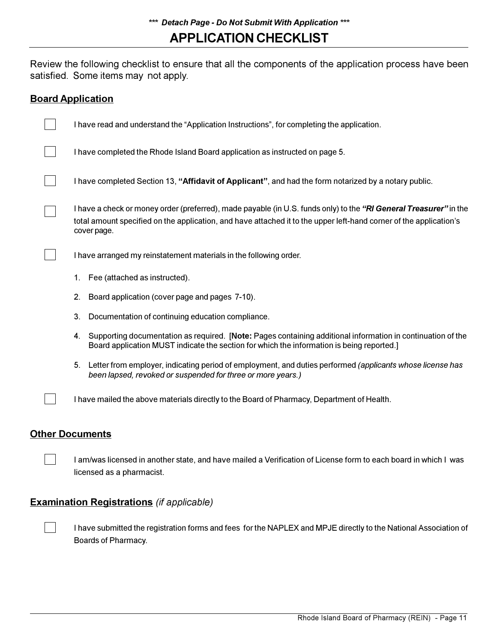### APPLICATION CHECKLIST

Review the following checklist to ensure that all the components of the application process have been satisfied. Some items may not apply.

### Board Application

| I have read and understand the "Application Instructions", for completing the application.                                                                                                                                                             |
|--------------------------------------------------------------------------------------------------------------------------------------------------------------------------------------------------------------------------------------------------------|
| I have completed the Rhode Island Board application as instructed on page 5.                                                                                                                                                                           |
| I have completed Section 13, "Affidavit of Applicant", and had the form notarized by a notary public.                                                                                                                                                  |
| I have a check or money order (preferred), made payable (in U.S. funds only) to the "RI General Treasurer" in the<br>total amount specified on the application, and have attached it to the upper left-hand corner of the application's<br>cover page. |
| I have arranged my reinstatement materials in the following order.                                                                                                                                                                                     |
| Fee (attached as instructed).<br>1.                                                                                                                                                                                                                    |
| Board application (cover page and pages 7-10).<br>2.                                                                                                                                                                                                   |
| Documentation of continuing education compliance.<br>3.                                                                                                                                                                                                |
| Supporting documentation as required. [Note: Pages containing additional information in continuation of the<br>4.<br>Board application MUST indicate the section for which the information is being reported.]                                         |
| 5.<br>Letter from employer, indicating period of employment, and duties performed (applicants whose license has<br>been lapsed, revoked or suspended for three or more years.)                                                                         |
| I have mailed the above materials directly to the Board of Pharmacy, Department of Health.                                                                                                                                                             |

### Other Documents

 $\blacksquare$ 

I am/was licensed in another state, and have mailed a Verification of License form to each board in which I was licensed as a pharmacist.

### **Examination Registrations** (if applicable)

I have submitted the registration forms and fees for the NAPLEX and MPJE directly to the National Association of Boards of Pharmacy.